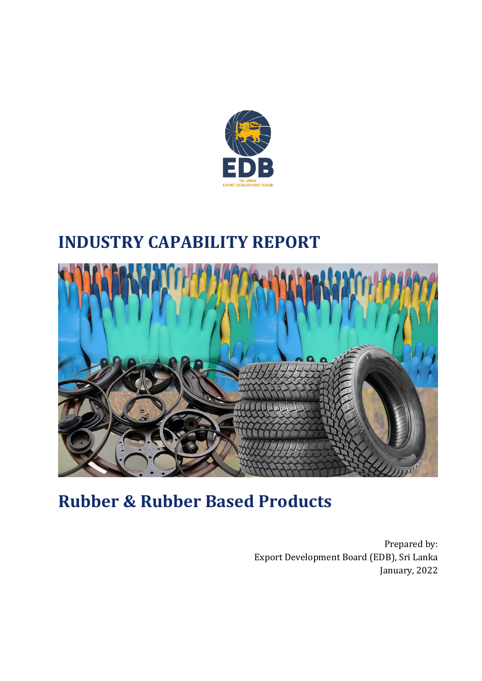

## **INDUSTRY CAPABILITY REPORT**



# **Rubber & Rubber Based Products**

Prepared by: Export Development Board (EDB), Sri Lanka January, 2022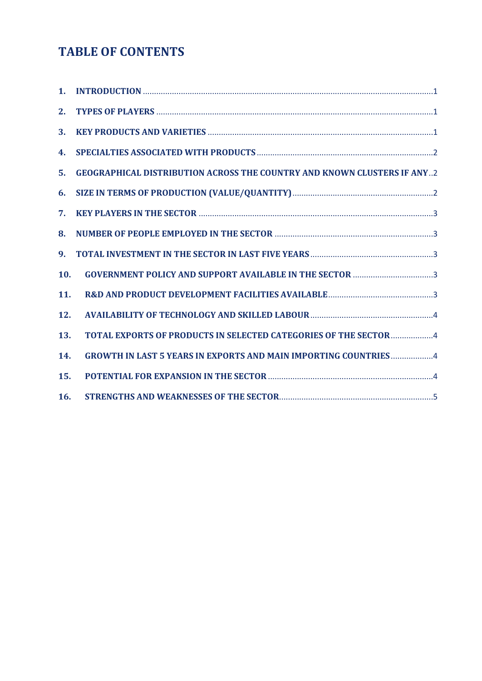### **TABLE OF CONTENTS**

| 2.  |                                                                                |
|-----|--------------------------------------------------------------------------------|
| 3.  |                                                                                |
| 4.  |                                                                                |
| 5.  | <b>GEOGRAPHICAL DISTRIBUTION ACROSS THE COUNTRY AND KNOWN CLUSTERS IF ANY2</b> |
| 6.  |                                                                                |
| 7.  |                                                                                |
| 8.  |                                                                                |
| 9.  |                                                                                |
| 10. | <b>GOVERNMENT POLICY AND SUPPORT AVAILABLE IN THE SECTOR 3</b>                 |
| 11. |                                                                                |
| 12. |                                                                                |
| 13. | TOTAL EXPORTS OF PRODUCTS IN SELECTED CATEGORIES OF THE SECTOR 4               |
| 14. | <b>GROWTH IN LAST 5 YEARS IN EXPORTS AND MAIN IMPORTING COUNTRIES4</b>         |
| 15. |                                                                                |
| 16. |                                                                                |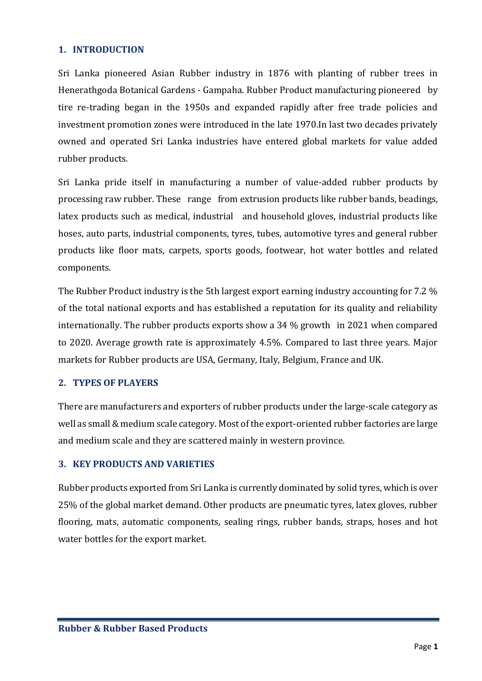#### <span id="page-2-0"></span>**1. INTRODUCTION**

Sri Lanka pioneered Asian Rubber industry in 1876 with planting of rubber trees in Henerathgoda Botanical Gardens - Gampaha. Rubber Product manufacturing pioneered by tire re-trading began in the 1950s and expanded rapidly after free trade policies and investment promotion zones were introduced in the late 1970.In last two decades privately owned and operated Sri Lanka industries have entered global markets for value added rubber products.

Sri Lanka pride itself in manufacturing a number of value-added rubber products by processing raw rubber. These range from extrusion products like rubber bands, beadings, latex products such as medical, industrial and household gloves, industrial products like hoses, auto parts, industrial components, tyres, tubes, automotive tyres and general rubber products like floor mats, carpets, sports goods, footwear, hot water bottles and related components.

The Rubber Product industry is the 5th largest export earning industry accounting for 7.2 % of the total national exports and has established a reputation for its quality and reliability internationally. The rubber products exports show a 34 % growth in 2021 when compared to 2020. Average growth rate is approximately 4.5%. Compared to last three years. Major markets for Rubber products are USA, Germany, Italy, Belgium, France and UK.

#### <span id="page-2-1"></span>**2. TYPES OF PLAYERS**

There are manufacturers and exporters of rubber products under the large-scale category as well as small & medium scale category. Most of the export-oriented rubber factories are large and medium scale and they are scattered mainly in western province.

#### <span id="page-2-2"></span>**3. KEY PRODUCTS AND VARIETIES**

Rubber products exported from Sri Lanka is currently dominated by solid tyres, which is over 25% of the global market demand. Other products are pneumatic tyres, latex gloves, rubber flooring, mats, automatic components, sealing rings, rubber bands, straps, hoses and hot water bottles for the export market.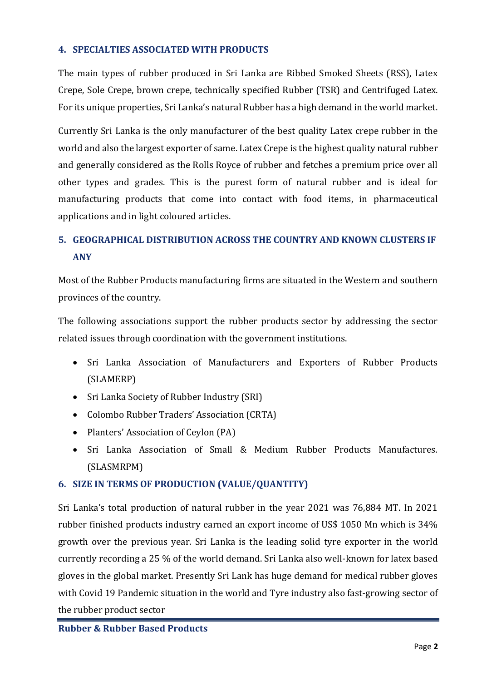#### <span id="page-3-0"></span>**4. SPECIALTIES ASSOCIATED WITH PRODUCTS**

The main types of rubber produced in Sri Lanka are Ribbed Smoked Sheets (RSS), Latex Crepe, Sole Crepe, brown crepe, technically specified Rubber (TSR) and Centrifuged Latex. For its unique properties, Sri Lanka's natural Rubber has a high demand in the world market.

Currently Sri Lanka is the only manufacturer of the best quality Latex crepe rubber in the world and also the largest exporter of same. Latex Crepe is the highest quality natural rubber and generally considered as the Rolls Royce of rubber and fetches a premium price over all other types and grades. This is the purest form of natural rubber and is ideal for manufacturing products that come into contact with food items, in pharmaceutical applications and in light coloured articles.

### <span id="page-3-1"></span>**5. GEOGRAPHICAL DISTRIBUTION ACROSS THE COUNTRY AND KNOWN CLUSTERS IF ANY**

Most of the Rubber Products manufacturing firms are situated in the Western and southern provinces of the country.

The following associations support the rubber products sector by addressing the sector related issues through coordination with the government institutions.

- Sri Lanka Association of Manufacturers and Exporters of Rubber Products (SLAMERP)
- Sri Lanka Society of Rubber Industry (SRI)
- Colombo Rubber Traders' Association (CRTA)
- Planters' Association of Ceylon (PA)
- Sri Lanka Association of Small & Medium Rubber Products Manufactures. (SLASMRPM)

#### <span id="page-3-2"></span>**6. SIZE IN TERMS OF PRODUCTION (VALUE/QUANTITY)**

Sri Lanka's total production of natural rubber in the year 2021 was 76,884 MT. In 2021 rubber finished products industry earned an export income of US\$ 1050 Mn which is 34% growth over the previous year. Sri Lanka is the leading solid tyre exporter in the world currently recording a 25 % of the world demand. Sri Lanka also well-known for latex based gloves in the global market. Presently Sri Lank has huge demand for medical rubber gloves with Covid 19 Pandemic situation in the world and Tyre industry also fast-growing sector of the rubber product sector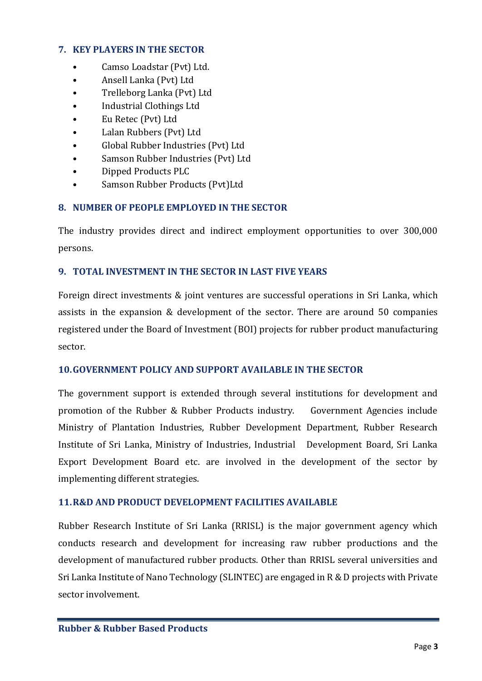#### <span id="page-4-0"></span>**7. KEY PLAYERS IN THE SECTOR**

- Camso Loadstar (Pvt) Ltd.
- Ansell Lanka (Pvt) Ltd
- Trelleborg Lanka (Pvt) Ltd
- Industrial Clothings Ltd
- Eu Retec (Pvt) Ltd
- Lalan Rubbers (Pvt) Ltd
- Global Rubber Industries (Pvt) Ltd
- Samson Rubber Industries (Pvt) Ltd
- Dipped Products PLC
- Samson Rubber Products (Pvt)Ltd

#### <span id="page-4-1"></span>**8. NUMBER OF PEOPLE EMPLOYED IN THE SECTOR**

The industry provides direct and indirect employment opportunities to over 300,000 persons.

#### <span id="page-4-2"></span>**9. TOTAL INVESTMENT IN THE SECTOR IN LAST FIVE YEARS**

Foreign direct investments & joint ventures are successful operations in Sri Lanka, which assists in the expansion & development of the sector. There are around 50 companies registered under the Board of Investment (BOI) projects for rubber product manufacturing sector.

#### <span id="page-4-3"></span>**10.GOVERNMENT POLICY AND SUPPORT AVAILABLE IN THE SECTOR**

The government support is extended through several institutions for development and promotion of the Rubber & Rubber Products industry. Government Agencies include Ministry of Plantation Industries, Rubber Development Department, Rubber Research Institute of Sri Lanka, Ministry of Industries, Industrial Development Board, Sri Lanka Export Development Board etc. are involved in the development of the sector by implementing different strategies.

#### <span id="page-4-4"></span>**11.R&D AND PRODUCT DEVELOPMENT FACILITIES AVAILABLE**

Rubber Research Institute of Sri Lanka (RRISL) is the major government agency which conducts research and development for increasing raw rubber productions and the development of manufactured rubber products. Other than RRISL several universities and Sri Lanka Institute of Nano Technology (SLINTEC) are engaged in R & D projects with Private sector involvement.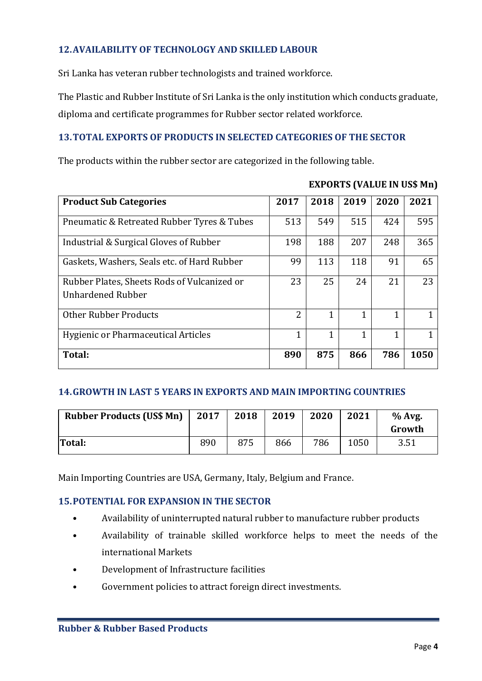#### <span id="page-5-0"></span>**12.AVAILABILITY OF TECHNOLOGY AND SKILLED LABOUR**

Sri Lanka has veteran rubber technologists and trained workforce.

The Plastic and Rubber Institute of Sri Lanka is the only institution which conducts graduate, diploma and certificate programmes for Rubber sector related workforce.

#### <span id="page-5-1"></span>**13.TOTAL EXPORTS OF PRODUCTS IN SELECTED CATEGORIES OF THE SECTOR**

The products within the rubber sector are categorized in the following table.

| <b>Product Sub Categories</b>                                           | 2017 | 2018         | 2019 | 2020 | 2021 |
|-------------------------------------------------------------------------|------|--------------|------|------|------|
| Pneumatic & Retreated Rubber Tyres & Tubes                              | 513  | 549          | 515  | 424  | 595  |
| Industrial & Surgical Gloves of Rubber                                  | 198  | 188          | 207  | 248  | 365  |
| Gaskets, Washers, Seals etc. of Hard Rubber                             | 99   | 113          | 118  | 91   | 65   |
| Rubber Plates, Sheets Rods of Vulcanized or<br><b>Unhardened Rubber</b> | 23   | 25           | 24   | 21   | 23   |
| <b>Other Rubber Products</b>                                            | 2    | 1            | 1    | 1    |      |
| Hygienic or Pharmaceutical Articles                                     |      | $\mathbf{1}$ | 1    | 1    |      |
| Total:                                                                  | 890  | 875          | 866  | 786  | 1050 |

#### **EXPORTS (VALUE IN US\$ Mn)**

#### <span id="page-5-2"></span>**14.GROWTH IN LAST 5 YEARS IN EXPORTS AND MAIN IMPORTING COUNTRIES**

| <b>Rubber Products (US\$ Mn)</b> | 2017 | 2018 | 2019 | 2020 | 2021 | $%$ Avg.<br>Growth |
|----------------------------------|------|------|------|------|------|--------------------|
| <b>Total:</b>                    | 890  | 875  | 866  | 786  | 1050 | 3.51               |

Main Importing Countries are USA, Germany, Italy, Belgium and France.

#### <span id="page-5-3"></span>**15.POTENTIAL FOR EXPANSION IN THE SECTOR**

- Availability of uninterrupted natural rubber to manufacture rubber products
- Availability of trainable skilled workforce helps to meet the needs of the international Markets
- Development of Infrastructure facilities
- Government policies to attract foreign direct investments.